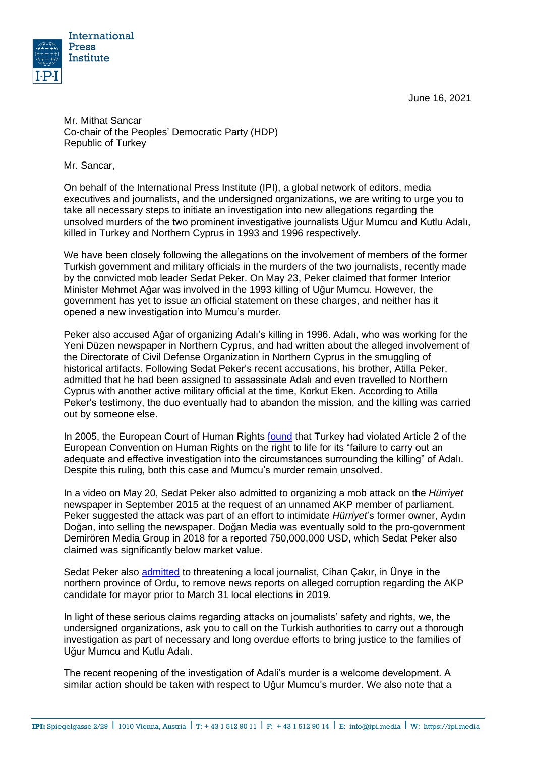June 16, 2021



Mr. Mithat Sancar Co-chair of the Peoples' Democratic Party (HDP) Republic of Turkey

Mr. Sancar,

On behalf of the International Press Institute (IPI), a global network of editors, media executives and journalists, and the undersigned organizations, we are writing to urge you to take all necessary steps to initiate an investigation into new allegations regarding the unsolved murders of the two prominent investigative journalists Uğur Mumcu and Kutlu Adalı, killed in Turkey and Northern Cyprus in 1993 and 1996 respectively.

We have been closely following the allegations on the involvement of members of the former Turkish government and military officials in the murders of the two journalists, recently made by the convicted mob leader Sedat Peker. On May 23, Peker claimed that former Interior Minister Mehmet Ağar was involved in the 1993 killing of Uğur Mumcu. However, the government has yet to issue an official statement on these charges, and neither has it opened a new investigation into Mumcu's murder.

Peker also accused Ağar of organizing Adalı's killing in 1996. Adalı, who was working for the Yeni Düzen newspaper in Northern Cyprus, and had written about the alleged involvement of the Directorate of Civil Defense Organization in Northern Cyprus in the smuggling of historical artifacts. Following Sedat Peker's recent accusations, his brother, Atilla Peker, admitted that he had been assigned to assassinate Adalı and even travelled to Northern Cyprus with another active military official at the time, Korkut Eken. According to Atilla Peker's testimony, the duo eventually had to abandon the mission, and the killing was carried out by someone else.

In 2005, the European Court of Human Rights [found](http://hudoc.echr.coe.int/eng?i=001-68670) that Turkey had violated Article 2 of the European Convention on Human Rights on the right to life for its "failure to carry out an adequate and effective investigation into the circumstances surrounding the killing" of Adalı. Despite this ruling, both this case and Mumcu's murder remain unsolved.

In a video on May 20, Sedat Peker also admitted to organizing a [mob attack](https://freeturkeyjournalists.ipi.media/ipi-condemns-mob-attack-on-turkish-daily-criminal-charges/) on the *Hürriyet* newspaper in September 2015 at the request of an unnamed AKP member of parliament. Peker suggested the attack was part of an effort to intimidate *Hürriyet*'s former owner, Aydın Doğan, into selling the newspaper. Doğan Media was eventually sold to the pro-government Demirören Media Group in 2018 for a reported 750,000,000 USD, which Sedat Peker also claimed was significantly below market value.

Sedat Peker also [admitted](https://www.gazeteduvar.com.tr/gazeteci-cakir-sedat-peker-gecmiste-yazdigim-haberi-kaldirtmak-istedi-haber-1524621) to threatening a local journalist, Cihan Çakır, in Ünye in the northern province of Ordu, to remove news reports on alleged corruption regarding the AKP candidate for mayor prior to March 31 local elections in 2019.

In light of these serious claims regarding attacks on journalists' safety and rights, we, the undersigned organizations, ask you to call on the Turkish authorities to carry out a thorough investigation as part of necessary and long overdue efforts to bring justice to the families of Uğur Mumcu and Kutlu Adalı.

The recent reopening of the investigation of Adali's murder is a welcome development. A similar action should be taken with respect to Uğur Mumcu's murder. We also note that a